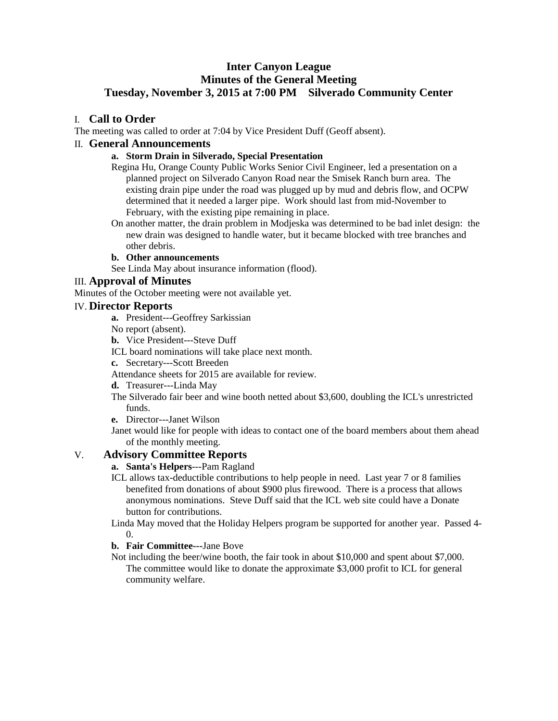# **Inter Canyon League Minutes of the General Meeting Tuesday, November 3, 2015 at 7:00 PM Silverado Community Center**

## I. **Call to Order**

The meeting was called to order at 7:04 by Vice President Duff (Geoff absent).

#### II. **General Announcements**

### **a. Storm Drain in Silverado, Special Presentation**

Regina Hu, Orange County Public Works Senior Civil Engineer, led a presentation on a planned project on Silverado Canyon Road near the Smisek Ranch burn area. The existing drain pipe under the road was plugged up by mud and debris flow, and OCPW determined that it needed a larger pipe. Work should last from mid-November to February, with the existing pipe remaining in place.

On another matter, the drain problem in Modjeska was determined to be bad inlet design: the new drain was designed to handle water, but it became blocked with tree branches and other debris.

#### **b. Other announcements**

See Linda May about insurance information (flood).

## III. **Approval of Minutes**

Minutes of the October meeting were not available yet.

### IV. **Director Reports**

- **a.** President---Geoffrey Sarkissian
- No report (absent).
- **b.** Vice President---Steve Duff
- ICL board nominations will take place next month.
- **c.** Secretary---Scott Breeden
- Attendance sheets for 2015 are available for review.
- **d.** Treasurer---Linda May
- The Silverado fair beer and wine booth netted about \$3,600, doubling the ICL's unrestricted funds.
- **e.** Director---Janet Wilson
- Janet would like for people with ideas to contact one of the board members about them ahead of the monthly meeting.

## V. **Advisory Committee Reports**

## **a. Santa's Helpers**---Pam Ragland

- ICL allows tax-deductible contributions to help people in need. Last year 7 or 8 families benefited from donations of about \$900 plus firewood. There is a process that allows anonymous nominations. Steve Duff said that the ICL web site could have a Donate button for contributions.
- Linda May moved that the Holiday Helpers program be supported for another year. Passed 4-  $\Omega$

### **b. Fair Committee---**Jane Bove

Not including the beer/wine booth, the fair took in about \$10,000 and spent about \$7,000. The committee would like to donate the approximate \$3,000 profit to ICL for general community welfare.